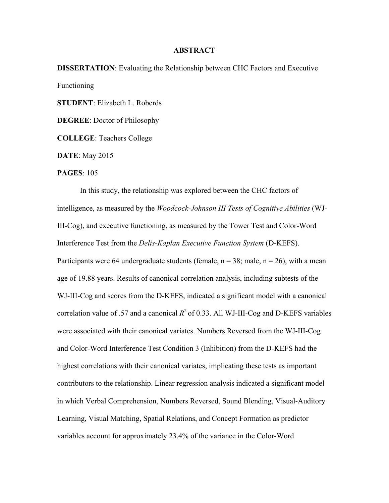## **ABSTRACT**

**DISSERTATION**: Evaluating the Relationship between CHC Factors and Executive Functioning

**STUDENT**: Elizabeth L. Roberds

**DEGREE**: Doctor of Philosophy

**COLLEGE**: Teachers College

**DATE**: May 2015

## **PAGES**: 105

In this study, the relationship was explored between the CHC factors of intelligence, as measured by the *Woodcock-Johnson III Tests of Cognitive Abilities* (WJ-III-Cog), and executive functioning, as measured by the Tower Test and Color-Word Interference Test from the *Delis-Kaplan Executive Function System* (D-KEFS). Participants were 64 undergraduate students (female,  $n = 38$ ; male,  $n = 26$ ), with a mean age of 19.88 years. Results of canonical correlation analysis, including subtests of the WJ-III-Cog and scores from the D-KEFS, indicated a significant model with a canonical correlation value of .57 and a canonical  $R^2$  of 0.33. All WJ-III-Cog and D-KEFS variables were associated with their canonical variates. Numbers Reversed from the WJ-III-Cog and Color-Word Interference Test Condition 3 (Inhibition) from the D-KEFS had the highest correlations with their canonical variates, implicating these tests as important contributors to the relationship. Linear regression analysis indicated a significant model in which Verbal Comprehension, Numbers Reversed, Sound Blending, Visual-Auditory Learning, Visual Matching, Spatial Relations, and Concept Formation as predictor variables account for approximately 23.4% of the variance in the Color-Word